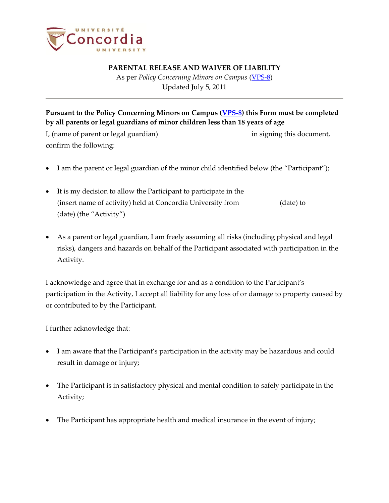

## **PARENTAL RELEASE AND WAIVER OF LIABILITY**

As per *Policy Concerning Minors on Campus* (VPS-8) Updated July 5, 2011

**Pursuant to the Policy Concerning Minors on Campus [\(VPS-8\)](http://www.concordia.ca/vpirsg/documents/policies/VPS-8.pdf) this Form must be completed by all parents or legal guardians of minor children less than 18 years of age** I, (name of parent or legal guardian) in signing this document, confirm the following:

- I am the parent or legal guardian of the minor child identified below (the "Participant");
- It is my decision to allow the Participant to participate in the (insert name of activity) held at Concordia University from (date) to (date) (the "Activity")
- As a parent or legal guardian, I am freely assuming all risks (including physical and legal risks), dangers and hazards on behalf of the Participant associated with participation in the Activity.

I acknowledge and agree that in exchange for and as a condition to the Participant's participation in the Activity, I accept all liability for any loss of or damage to property caused by or contributed to by the Participant.

I further acknowledge that:

- I am aware that the Participant's participation in the activity may be hazardous and could result in damage or injury;
- The Participant is in satisfactory physical and mental condition to safely participate in the Activity;
- The Participant has appropriate health and medical insurance in the event of injury;